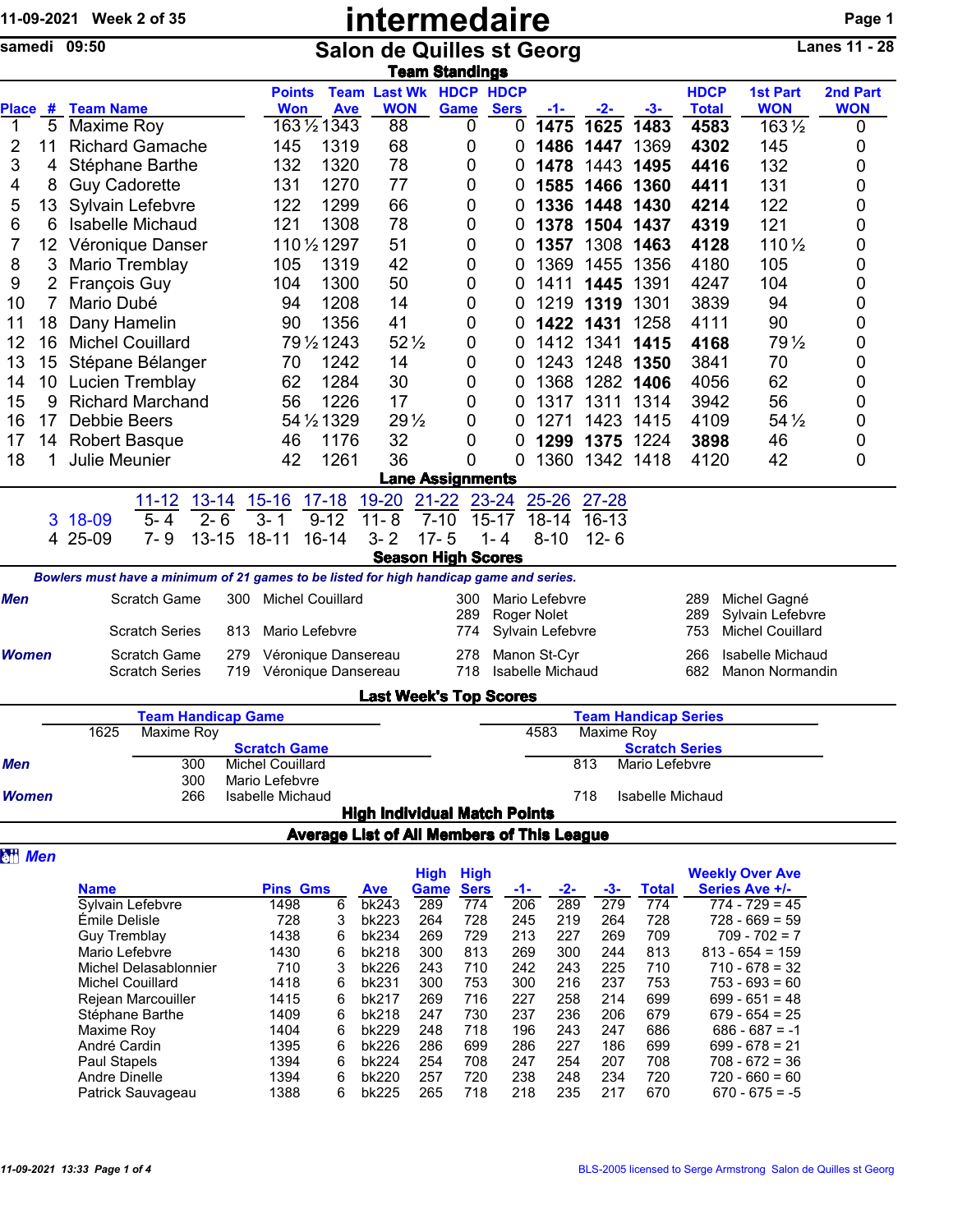|                |                | 11-09-2021 Week 2 of 35                                                                 |                                                  |                            |                       |                                    |                                                           | <b>intermedaire</b>                        |                 |                               |             |                  |                        |                             |                  |  |                                      | Page 1               |  |  |
|----------------|----------------|-----------------------------------------------------------------------------------------|--------------------------------------------------|----------------------------|-----------------------|------------------------------------|-----------------------------------------------------------|--------------------------------------------|-----------------|-------------------------------|-------------|------------------|------------------------|-----------------------------|------------------|--|--------------------------------------|----------------------|--|--|
|                | samedi 09:50   |                                                                                         |                                                  |                            |                       |                                    | <b>Salon de Quilles st Georg</b><br><b>Team Standings</b> |                                            |                 |                               |             |                  |                        |                             |                  |  |                                      | <b>Lanes 11 - 28</b> |  |  |
|                |                |                                                                                         |                                                  |                            |                       | <b>Points</b>                      |                                                           | <b>Team Last Wk HDCP HDCP</b>              |                 |                               |             |                  |                        |                             | <b>HDCP</b>      |  | <b>1st Part</b>                      | 2nd Part             |  |  |
| <b>Place</b>   |                | # Team Name                                                                             |                                                  |                            |                       | <b>Won</b>                         | <b>Ave</b>                                                | <b>WON</b>                                 |                 | Game                          | <b>Sers</b> | -1-              | -2-                    | -3-                         | <b>Total</b>     |  | <b>WON</b>                           | <b>WON</b>           |  |  |
| 1              | 5              | Maxime Roy                                                                              |                                                  |                            |                       |                                    | 1631/21343                                                | 88                                         |                 | 0                             | 0           | 1475             | 1625                   | 1483                        | 4583             |  | $163\frac{1}{2}$                     | 0                    |  |  |
| 2              | 11             | <b>Richard Gamache</b>                                                                  |                                                  |                            |                       | 145                                | 1319                                                      | 68                                         |                 | 0                             | 0           | 1486             | 1447                   | 1369                        | 4302             |  | 145                                  | 0                    |  |  |
| 3              | 4              | Stéphane Barthe                                                                         |                                                  |                            |                       | 132                                | 1320                                                      | 78                                         |                 | 0                             | 0           | 1478             | 1443                   | 1495                        | 4416             |  | 132                                  | 0                    |  |  |
| 4              | 8              | <b>Guy Cadorette</b>                                                                    |                                                  |                            |                       | 131                                | 1270                                                      | 77                                         |                 | 0                             | 0           | 1585             | 1466                   | 1360                        | 4411             |  | 131                                  | 0                    |  |  |
| 5              | 13             | Sylvain Lefebvre                                                                        |                                                  |                            |                       | 122                                | 1299                                                      | 66                                         |                 | 0                             | 0           | 1336             | 1448                   | 1430                        | 4214             |  | 122                                  | 0                    |  |  |
|                |                |                                                                                         |                                                  |                            |                       |                                    |                                                           |                                            |                 |                               |             |                  |                        |                             |                  |  | 121                                  |                      |  |  |
| 6              | 6              |                                                                                         | <b>Isabelle Michaud</b>                          |                            |                       | 121                                | 1308                                                      | 78                                         |                 | 0                             | 0           | 1378             | 1504 1437              |                             | 4319             |  |                                      | 0                    |  |  |
| 7              | 12             | Véronique Danser                                                                        |                                                  |                            |                       |                                    | 110 1/2 1297                                              | 51                                         |                 | 0                             | 0           | 1357             | 1308                   | 1463                        | 4128             |  | 110 1/2                              | 0                    |  |  |
| 8              | 3              | Mario Tremblay                                                                          |                                                  |                            |                       | 105                                | 1319                                                      | 42                                         |                 | 0                             | 0           | 1369             | 1455                   | 1356                        | 4180             |  | 105                                  | 0                    |  |  |
| 9              | $\overline{2}$ | François Guy                                                                            |                                                  |                            |                       | 104                                | 1300                                                      | 50                                         |                 | 0                             | 0           | 1411             | 1445                   | 1391                        | 4247             |  | 104                                  | 0                    |  |  |
| 10             | 7              | Mario Dubé                                                                              |                                                  |                            |                       | 94                                 | 1208                                                      | 14                                         |                 | 0                             | 0           | 1219             | 1319                   | 1301                        | 3839             |  | 94                                   | 0                    |  |  |
| 11             | 18             | Dany Hamelin                                                                            |                                                  |                            |                       | 90                                 | 1356                                                      | 41                                         |                 | 0                             | 0           | 1422             | 1431                   | 1258                        | 4111             |  | 90                                   | 0                    |  |  |
| 12             | 16             | <b>Michel Couillard</b>                                                                 |                                                  |                            |                       |                                    | 79 1/2 1243                                               |                                            | $52\frac{1}{2}$ | 0                             | 0           | 1412             | 1341                   | 1415                        | 4168             |  | 79 $\frac{1}{2}$                     | 0                    |  |  |
| 13             | 15             | Stépane Bélanger                                                                        |                                                  |                            |                       | 70                                 | 1242                                                      | 14                                         |                 | 0                             | 0           | 1243             | 1248                   | 1350                        | 3841             |  | 70                                   | 0                    |  |  |
| 14             | 10             | Lucien Tremblay                                                                         |                                                  |                            |                       | 62                                 | 1284                                                      | 30                                         |                 | 0                             | 0           | 1368             | 1282                   | 1406                        | 4056             |  | 62                                   | 0                    |  |  |
| 15             | 9              | <b>Richard Marchand</b>                                                                 |                                                  |                            |                       | 56                                 | 1226                                                      | 17                                         |                 | 0                             | 0           | 1317             | 1311                   | 1314                        | 3942             |  | 56                                   | 0                    |  |  |
| 16             | 17             | <b>Debbie Beers</b>                                                                     |                                                  |                            |                       |                                    | 54 1/2 1329                                               |                                            | 29 <sub>2</sub> | 0                             | 0           | 1271             | 1423                   | 1415                        | 4109             |  | $54\frac{1}{2}$                      | 0                    |  |  |
| 17             | 14             | <b>Robert Basque</b>                                                                    |                                                  |                            |                       | 46                                 | 1176                                                      | 32                                         |                 | 0                             | 0           | 1299             | 1375                   | 1224                        | 3898             |  | 46                                   | 0                    |  |  |
| 18             | 1              | <b>Julie Meunier</b>                                                                    |                                                  |                            |                       | 42                                 | 1261                                                      | 36                                         |                 | 0                             | 0           |                  | 1360 1342 1418         |                             | 4120             |  | 42                                   | 0                    |  |  |
|                |                |                                                                                         |                                                  |                            |                       |                                    |                                                           |                                            |                 | <b>Lane Assignments</b>       |             |                  |                        |                             |                  |  |                                      |                      |  |  |
|                |                |                                                                                         |                                                  |                            |                       |                                    |                                                           |                                            |                 |                               |             |                  |                        |                             |                  |  |                                      |                      |  |  |
|                |                |                                                                                         | $11 - 12$                                        | $13 - 14$                  |                       | $15 - 16$                          | $17 - 18$                                                 | 19-20                                      | $21 - 22$       |                               | 23-24       | $25 - 26$        | $27 - 28$              |                             |                  |  |                                      |                      |  |  |
|                | 3              | 18-09                                                                                   | $5 - 4$                                          | $2 - 6$                    |                       | $3-$<br>$\mathbf 1$                | $9 - 12$                                                  | $11 - 8$                                   | $7 - 10$        |                               | $15 - 17$   | $18 - 14$        | $16 - 13$              |                             |                  |  |                                      |                      |  |  |
|                |                | 4 25-09                                                                                 | $7 - 9$                                          | $13 - 15$                  |                       | $18 - 11$                          | $16 - 14$                                                 | $3 - 2$                                    | $17 - 5$        |                               | $1 - 4$     | $8 - 10$         | $12 - 6$               |                             |                  |  |                                      |                      |  |  |
|                |                |                                                                                         |                                                  |                            |                       |                                    |                                                           |                                            |                 | <b>Season High Scores</b>     |             |                  |                        |                             |                  |  |                                      |                      |  |  |
|                |                | Bowlers must have a minimum of 21 games to be listed for high handicap game and series. |                                                  |                            |                       |                                    |                                                           |                                            |                 |                               |             |                  |                        |                             |                  |  |                                      |                      |  |  |
| <b>Men</b>     |                |                                                                                         | Scratch Game                                     |                            | 300                   | <b>Michel Couillard</b>            |                                                           |                                            |                 | 300                           |             | Mario Lefebvre   |                        |                             | 289              |  | Michel Gagné                         |                      |  |  |
|                |                |                                                                                         |                                                  |                            |                       |                                    |                                                           |                                            |                 | 289                           |             | Roger Nolet      |                        |                             | 289              |  | Sylvain Lefebvre                     |                      |  |  |
|                |                |                                                                                         | <b>Scratch Series</b>                            |                            | 813<br>Mario Lefebvre |                                    |                                                           |                                            |                 | 774                           |             | Sylvain Lefebvre |                        |                             | 753              |  | <b>Michel Couillard</b>              |                      |  |  |
| <b>Women</b>   |                | <b>Scratch Game</b>                                                                     |                                                  | 279<br>Véronique Dansereau |                       |                                    |                                                           | 278<br>Manon St-Cyr                        |                 |                               |             |                  | 266                    |                             | Isabelle Michaud |  |                                      |                      |  |  |
|                |                | Scratch Series                                                                          |                                                  | 719 Véronique Dansereau    |                       |                                    |                                                           | 718<br>Isabelle Michaud                    |                 |                               |             |                  | 682<br>Manon Normandin |                             |                  |  |                                      |                      |  |  |
|                |                |                                                                                         |                                                  |                            |                       |                                    |                                                           |                                            |                 | <b>Last Week's Top Scores</b> |             |                  |                        |                             |                  |  |                                      |                      |  |  |
|                |                |                                                                                         |                                                  |                            |                       | <b>Team Handicap Game</b>          |                                                           |                                            |                 |                               |             |                  |                        | <b>Team Handicap Series</b> |                  |  |                                      |                      |  |  |
|                |                | 1625                                                                                    | Maxime Roy                                       |                            |                       |                                    |                                                           |                                            |                 |                               |             | 4583             | Maxime Roy             |                             |                  |  |                                      |                      |  |  |
|                |                |                                                                                         |                                                  |                            |                       | <b>Scratch Game</b>                |                                                           |                                            |                 |                               |             |                  |                        | <b>Scratch Series</b>       |                  |  |                                      |                      |  |  |
| <b>Men</b>     |                |                                                                                         |                                                  | 300                        |                       | Michel Couillard                   |                                                           |                                            |                 |                               |             |                  | 813                    | Mario Lefebvre              |                  |  |                                      |                      |  |  |
| <b>Women</b>   |                |                                                                                         |                                                  | 300<br>266                 |                       | Mario Lefebvre<br>Isabelle Michaud |                                                           |                                            |                 |                               |             |                  | 718                    | Isabelle Michaud            |                  |  |                                      |                      |  |  |
|                |                |                                                                                         |                                                  |                            |                       |                                    |                                                           | <b>High Individual Match Points</b>        |                 |                               |             |                  |                        |                             |                  |  |                                      |                      |  |  |
|                |                |                                                                                         |                                                  |                            |                       |                                    |                                                           | Average List of All Members of This League |                 |                               |             |                  |                        |                             |                  |  |                                      |                      |  |  |
| <b>att</b> Men |                |                                                                                         |                                                  |                            |                       |                                    |                                                           |                                            |                 |                               |             |                  |                        |                             |                  |  |                                      |                      |  |  |
|                |                |                                                                                         |                                                  |                            |                       |                                    |                                                           |                                            | <b>High</b>     | <b>High</b>                   |             |                  |                        |                             |                  |  | <b>Weekly Over Ave</b>               |                      |  |  |
|                |                | <b>Name</b>                                                                             |                                                  |                            |                       | <b>Pins Gms</b>                    |                                                           | <b>Ave</b>                                 | Game            | <b>Sers</b>                   | $-1-$       | $-2-$            | $-3-$                  | <b>Total</b>                |                  |  | Series Ave +/-                       |                      |  |  |
|                |                |                                                                                         | Sylvain Lefebvre                                 |                            |                       | 1498                               | 6                                                         | bk243                                      | 289             | 774                           | 206         | 289              | 279                    | 774                         |                  |  | $774 - 729 = 45$                     |                      |  |  |
|                |                | Émile Delisle                                                                           |                                                  |                            |                       | 728                                | 3                                                         | bk223                                      | 264             | 728                           | 245         | 219              | 264                    | 728                         |                  |  | $728 - 669 = 59$                     |                      |  |  |
|                |                | <b>Guy Tremblay</b>                                                                     |                                                  |                            |                       | 1438                               | 6                                                         | bk234                                      | 269             | 729                           | 213         | 227              | 269                    | 709                         |                  |  | $709 - 702 = 7$                      |                      |  |  |
|                |                | Mario Lefebvre                                                                          |                                                  |                            |                       | 1430                               | 6                                                         | bk218                                      | 300             | 813                           | 269         | 300              | 244                    | 813                         |                  |  | $813 - 654 = 159$                    |                      |  |  |
|                |                |                                                                                         | Michel Delasablonnier<br><b>Michel Couillard</b> |                            |                       | 710                                | 3<br>6                                                    | bk226<br>bk231                             | 243<br>300      | 710<br>753                    | 242<br>300  | 243<br>216       | 225<br>237             | 710<br>753                  |                  |  | $710 - 678 = 32$<br>$753 - 693 = 60$ |                      |  |  |
|                |                |                                                                                         | Rejean Marcouiller                               |                            |                       | 1418<br>1415                       | 6                                                         | bk217                                      | 269             | 716                           | 227         | 258              | 214                    | 699                         |                  |  | $699 - 651 = 48$                     |                      |  |  |
|                |                |                                                                                         | Stéphane Barthe                                  |                            |                       | 1409                               | 6                                                         | bk218                                      | 247             | 730                           | 237         | 236              | 206                    | 679                         |                  |  | $679 - 654 = 25$                     |                      |  |  |
|                |                | Maxime Roy                                                                              |                                                  |                            |                       | 1404                               | 6                                                         | bk229                                      | 248             | 718                           | 196         | 243              | 247                    | 686                         |                  |  | $686 - 687 = -1$                     |                      |  |  |
|                |                | André Cardin                                                                            |                                                  |                            |                       | 1395                               | 6                                                         | bk226                                      | 286             | 699                           | 286         | 227              | 186                    | 699                         |                  |  | $699 - 678 = 21$                     |                      |  |  |
|                |                | Paul Stapels                                                                            |                                                  |                            |                       | 1394                               | 6                                                         | bk224                                      | 254             | 708                           | 247         | 254              | 207                    | 708                         |                  |  | $708 - 672 = 36$                     |                      |  |  |

Paul Stapels 1394 6 bk224 254 708 247 254 207 708 708 - 672 = 36<br>Andre Dinelle 1394 6 bk220 257 720 238 248 234 720 720 - 660 = 60

Andre Dinelle 1394 6 bk220 257 720 238 248 234 720 720 - 660 = 60

Patrick Sauvageau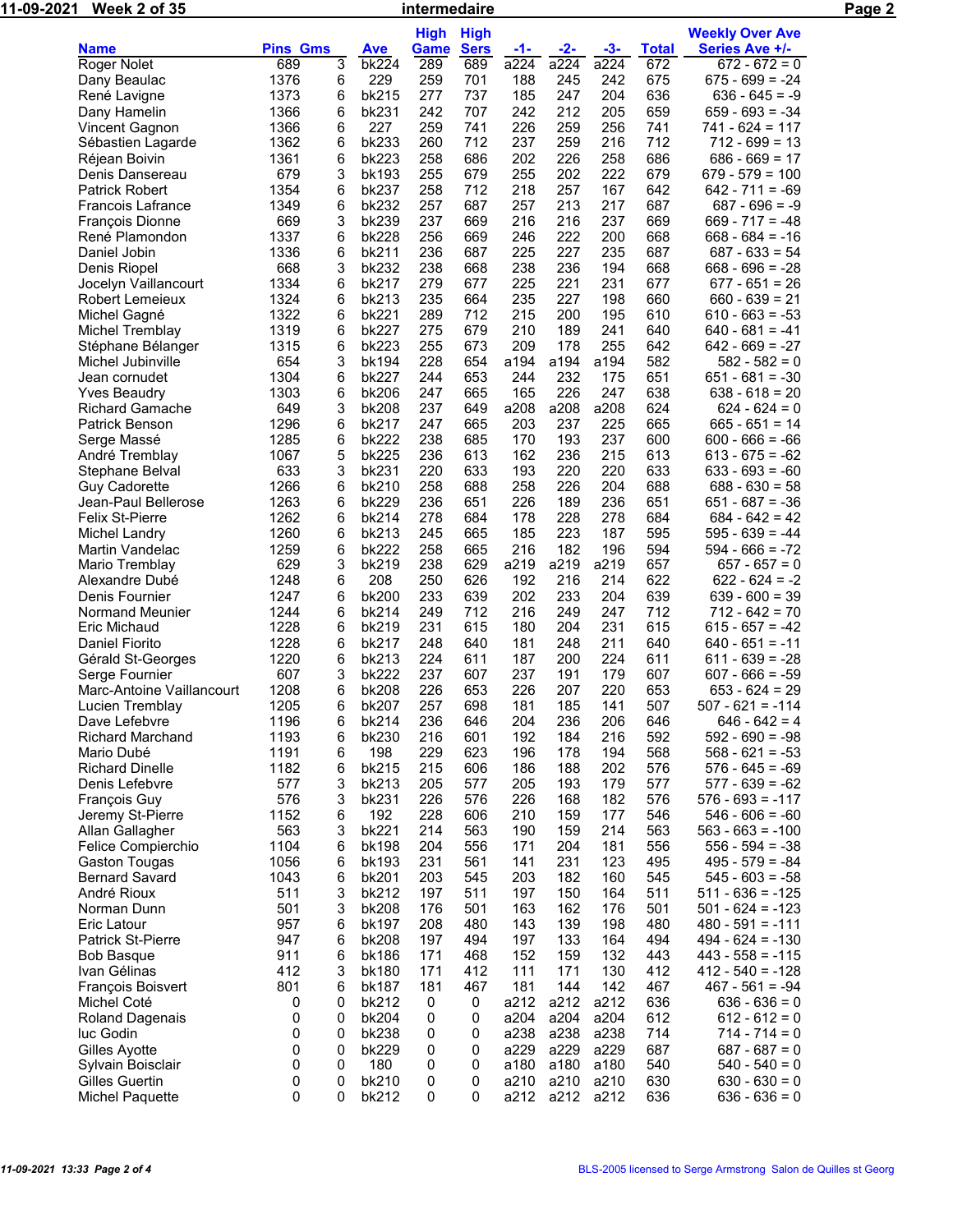| <u>11-09-</u> 2021 | Week 2 of 35                                |                 |        | intermedaire   |             | Page 2      |            |                |            |              |                                          |  |
|--------------------|---------------------------------------------|-----------------|--------|----------------|-------------|-------------|------------|----------------|------------|--------------|------------------------------------------|--|
|                    |                                             |                 |        |                | <b>High</b> | <b>High</b> |            |                |            |              | <b>Weekly Over Ave</b>                   |  |
|                    | <b>Name</b>                                 | <b>Pins Gms</b> |        | <b>Ave</b>     | <b>Game</b> | <b>Sers</b> | <u>-1-</u> | $-2-$          | $-3-$      | <b>Total</b> | <b>Series Ave +/-</b>                    |  |
|                    | Roger Nolet                                 | 689             | 3      | bk224          | 289         | 689         | a224       | a224           | a224       | 672          | $672 - 672 = 0$                          |  |
|                    | Dany Beaulac                                | 1376            | 6      | 229            | 259         | 701         | 188        | 245            | 242        | 675          | $675 - 699 = -24$                        |  |
|                    | René Lavigne                                | 1373            | 6      | bk215          | 277         | 737         | 185        | 247            | 204        | 636          | $636 - 645 = -9$                         |  |
|                    | Dany Hamelin                                | 1366            | 6      | bk231          | 242         | 707         | 242        | 212            | 205        | 659          | $659 - 693 = -34$                        |  |
|                    | Vincent Gagnon                              | 1366            | 6      | 227            | 259         | 741         | 226        | 259            | 256        | 741          | $741 - 624 = 117$                        |  |
|                    | Sébastien Lagarde                           | 1362            | 6      | bk233          | 260         | 712         | 237        | 259            | 216        | 712          | $712 - 699 = 13$                         |  |
|                    | Réjean Boivin                               | 1361            | 6      | bk223          | 258         | 686         | 202        | 226            | 258        | 686          | $686 - 669 = 17$                         |  |
|                    | Denis Dansereau                             | 679             | 3      | bk193          | 255         | 679         | 255        | 202            | 222        | 679          | $679 - 579 = 100$                        |  |
|                    | <b>Patrick Robert</b>                       | 1354            | 6      | bk237          | 258         | 712         | 218        | 257            | 167        | 642          | $642 - 711 = -69$                        |  |
|                    | <b>Francois Lafrance</b><br>François Dionne | 1349<br>669     | 6<br>3 | bk232<br>bk239 | 257<br>237  | 687<br>669  | 257<br>216 | 213<br>216     | 217<br>237 | 687<br>669   | $687 - 696 = -9$<br>$669 - 717 = -48$    |  |
|                    | René Plamondon                              | 1337            | 6      | bk228          | 256         | 669         | 246        | 222            | 200        | 668          | $668 - 684 = -16$                        |  |
|                    | Daniel Jobin                                | 1336            | 6      | bk211          | 236         | 687         | 225        | 227            | 235        | 687          | $687 - 633 = 54$                         |  |
|                    | Denis Riopel                                | 668             | 3      | bk232          | 238         | 668         | 238        | 236            | 194        | 668          | $668 - 696 = -28$                        |  |
|                    | Jocelyn Vaillancourt                        | 1334            | 6      | bk217          | 279         | 677         | 225        | 221            | 231        | 677          | $677 - 651 = 26$                         |  |
|                    | <b>Robert Lemeieux</b>                      | 1324            | 6      | bk213          | 235         | 664         | 235        | 227            | 198        | 660          | $660 - 639 = 21$                         |  |
|                    | Michel Gagné                                | 1322            | 6      | bk221          | 289         | 712         | 215        | 200            | 195        | 610          | $610 - 663 = -53$                        |  |
|                    | Michel Tremblay                             | 1319            | 6      | bk227          | 275         | 679         | 210        | 189            | 241        | 640          | $640 - 681 = -41$                        |  |
|                    | Stéphane Bélanger                           | 1315            | 6      | bk223          | 255         | 673         | 209        | 178            | 255        | 642          | $642 - 669 = -27$                        |  |
|                    | Michel Jubinville                           | 654             | 3      | bk194          | 228         | 654         | a194       | a194           | a194       | 582          | $582 - 582 = 0$                          |  |
|                    | Jean cornudet                               | 1304            | 6      | bk227          | 244         | 653         | 244        | 232            | 175        | 651          | $651 - 681 = -30$                        |  |
|                    | <b>Yves Beaudry</b>                         | 1303            | 6      | bk206          | 247         | 665         | 165        | 226            | 247        | 638          | $638 - 618 = 20$                         |  |
|                    | Richard Gamache                             | 649             | 3      | bk208          | 237         | 649         | a208       | a208           | a208       | 624          | $624 - 624 = 0$                          |  |
|                    | Patrick Benson                              | 1296            | 6      | bk217          | 247         | 665         | 203        | 237            | 225        | 665          | $665 - 651 = 14$                         |  |
|                    | Serge Massé                                 | 1285            | 6      | bk222          | 238         | 685         | 170        | 193            | 237        | 600          | $600 - 666 = -66$                        |  |
|                    | André Tremblay                              | 1067            | 5      | bk225          | 236         | 613         | 162        | 236            | 215        | 613          | $613 - 675 = -62$                        |  |
|                    | Stephane Belval                             | 633             | 3      | bk231          | 220         | 633         | 193        | 220            | 220        | 633          | $633 - 693 = -60$                        |  |
|                    | <b>Guy Cadorette</b>                        | 1266            | 6      | bk210          | 258         | 688         | 258        | 226            | 204        | 688          | $688 - 630 = 58$                         |  |
|                    | Jean-Paul Bellerose                         | 1263            | 6      | bk229          | 236         | 651         | 226        | 189            | 236        | 651          | $651 - 687 = -36$                        |  |
|                    | <b>Felix St-Pierre</b>                      | 1262            | 6      | bk214          | 278         | 684         | 178        | 228            | 278        | 684          | $684 - 642 = 42$                         |  |
|                    | Michel Landry                               | 1260            | 6      | bk213          | 245         | 665         | 185        | 223            | 187        | 595          | $595 - 639 = -44$                        |  |
|                    | Martin Vandelac                             | 1259            | 6      | bk222          | 258         | 665         | 216        | 182            | 196        | 594          | $594 - 666 = -72$                        |  |
|                    | Mario Tremblay                              | 629             | 3      | bk219          | 238         | 629         | a219       | a219           | a219       | 657          | $657 - 657 = 0$                          |  |
|                    | Alexandre Dubé<br>Denis Fournier            | 1248<br>1247    | 6<br>6 | 208<br>bk200   | 250<br>233  | 626<br>639  | 192<br>202 | 216<br>233     | 214<br>204 | 622<br>639   | $622 - 624 = -2$<br>$639 - 600 = 39$     |  |
|                    | Normand Meunier                             | 1244            | 6      | bk214          | 249         | 712         | 216        | 249            | 247        | 712          | $712 - 642 = 70$                         |  |
|                    | Eric Michaud                                | 1228            | 6      | bk219          | 231         | 615         | 180        | 204            | 231        | 615          | $615 - 657 = -42$                        |  |
|                    | Daniel Fiorito                              | 1228            | 6      | bk217          | 248         | 640         | 181        | 248            | 211        | 640          | $640 - 651 = -11$                        |  |
|                    | Gérald St-Georges                           | 1220            | 6      | bk213          | 224         | 611         | 187        | 200            | 224        | 611          | $611 - 639 = -28$                        |  |
|                    | Serge Fournier                              | 607             | 3      | bk222          | 237         | 607         | 237        | 191            | 179        | 607          | $607 - 666 = -59$                        |  |
|                    | Marc-Antoine Vaillancourt                   | 1208            | 6      | bk208          | 226         | 653         | 226        | 207            | 220        | 653          | $653 - 624 = 29$                         |  |
|                    | Lucien Tremblay                             | 1205            | 6      | bk207          | 257         | 698         | 181        | 185            | 141        | 507          | $507 - 621 = -114$                       |  |
|                    | Dave Lefebvre                               | 1196            | 6      | bk214          | 236         | 646         | 204        | 236            | 206        | 646          | $646 - 642 = 4$                          |  |
|                    | <b>Richard Marchand</b>                     | 1193            | 6      | bk230          | 216         | 601         | 192        | 184            | 216        | 592          | $592 - 690 = -98$                        |  |
|                    | Mario Dubé                                  | 1191            | 6      | 198            | 229         | 623         | 196        | 178            | 194        | 568          | $568 - 621 = -53$                        |  |
|                    | <b>Richard Dinelle</b>                      | 1182            | 6      | bk215          | 215         | 606         | 186        | 188            | 202        | 576          | $576 - 645 = -69$                        |  |
|                    | Denis Lefebvre                              | 577             | 3      | bk213          | 205         | 577         | 205        | 193            | 179        | 577          | $577 - 639 = -62$                        |  |
|                    | François Guy                                | 576             | 3      | bk231          | 226         | 576         | 226        | 168            | 182        | 576          | $576 - 693 = -117$                       |  |
|                    | Jeremy St-Pierre                            | 1152            | 6      | 192            | 228         | 606         | 210        | 159            | 177        | 546          | $546 - 606 = -60$                        |  |
|                    | Allan Gallagher                             | 563             | 3      | bk221          | 214         | 563         | 190        | 159            | 214        | 563          | $563 - 663 = -100$                       |  |
|                    | Felice Compierchio                          | 1104            | 6      | bk198          | 204         | 556         | 171        | 204            | 181        | 556          | $556 - 594 = -38$                        |  |
|                    | <b>Gaston Tougas</b>                        | 1056            | 6      | bk193          | 231         | 561         | 141        | 231            | 123        | 495          | $495 - 579 = -84$                        |  |
|                    | <b>Bernard Savard</b>                       | 1043            | 6      | bk201          | 203         | 545         | 203        | 182            | 160        | 545          | $545 - 603 = -58$                        |  |
|                    | André Rioux                                 | 511             | 3      | bk212          | 197         | 511         | 197        | 150            | 164        | 511          | $511 - 636 = -125$                       |  |
|                    | Norman Dunn                                 | 501             | 3      | bk208          | 176         | 501         | 163        | 162            | 176        | 501          | $501 - 624 = -123$                       |  |
|                    | Eric Latour                                 | 957             | 6      | bk197          | 208         | 480         | 143        | 139            | 198        | 480          | $480 - 591 = -111$                       |  |
|                    | <b>Patrick St-Pierre</b>                    | 947<br>911      | 6<br>6 | bk208          | 197<br>171  | 494         | 197        | 133            | 164        | 494          | $494 - 624 = -130$                       |  |
|                    | <b>Bob Basque</b><br>Ivan Gélinas           | 412             | 3      | bk186<br>bk180 | 171         | 468<br>412  | 152<br>111 | 159<br>171     | 132<br>130 | 443<br>412   | $443 - 558 = -115$<br>$412 - 540 = -128$ |  |
|                    | François Boisvert                           | 801             | 6      | bk187          | 181         | 467         | 181        | 144            | 142        | 467          | $467 - 561 = -94$                        |  |
|                    | Michel Coté                                 | 0               | 0      | bk212          | 0           | 0           | a212       | a212           | a212       | 636          | $636 - 636 = 0$                          |  |
|                    | Roland Dagenais                             | 0               | 0      | bk204          | 0           | 0           | a204       | a204           | a204       | 612          | $612 - 612 = 0$                          |  |
|                    | luc Godin                                   | 0               | 0      | <b>bk238</b>   | 0           | 0           | a238       | a238           | a238       | 714          | $714 - 714 = 0$                          |  |
|                    | Gilles Ayotte                               | 0               | 0      | bk229          | 0           | 0           | a229       | a229           | a229       | 687          | $687 - 687 = 0$                          |  |
|                    | Sylvain Boisclair                           | 0               | 0      | 180            | 0           | 0           | a180       | a180           | a180       | 540          | $540 - 540 = 0$                          |  |
|                    | Gilles Guertin                              | 0               | 0      | bk210          | 0           | 0           | a210       | a210           | a210       | 630          | $630 - 630 = 0$                          |  |
|                    | <b>Michel Paquette</b>                      | 0               | 0      | bk212          | 0           | $\Omega$    |            | a212 a212 a212 |            | 636          | $636 - 636 = 0$                          |  |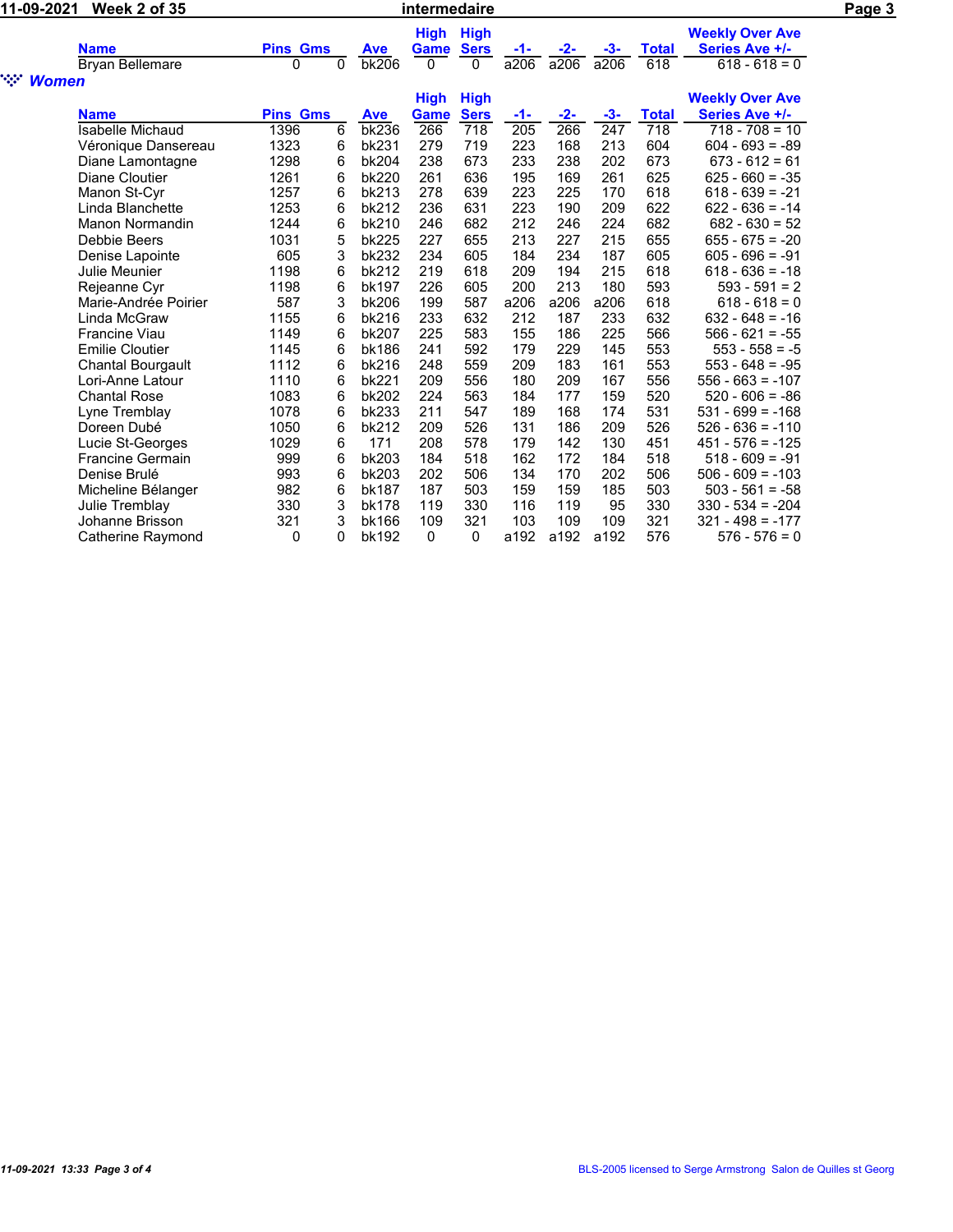| 11-09-2021             |                          |                 | Page 3       |              |             |             |                  |       |       |              |                        |  |
|------------------------|--------------------------|-----------------|--------------|--------------|-------------|-------------|------------------|-------|-------|--------------|------------------------|--|
|                        |                          |                 |              |              | High        | <b>High</b> |                  |       |       |              | <b>Weekly Over Ave</b> |  |
|                        | <b>Name</b>              | <b>Pins Gms</b> |              | <b>Ave</b>   | Game        | <b>Sers</b> | -1-              | -2-   | -3-   | <b>Total</b> | Series Ave +/-         |  |
|                        | <b>Bryan Bellemare</b>   | $\mathbf{0}$    | $\mathbf{0}$ | <b>bk206</b> | $\Omega$    | 0           | a206             | a206  | a206  | 618          | $618 - 618 = 0$        |  |
| ngan i<br><b>Women</b> |                          |                 |              |              |             |             |                  |       |       |              |                        |  |
|                        |                          |                 |              |              | <b>High</b> | <b>High</b> |                  |       |       |              | <b>Weekly Over Ave</b> |  |
|                        | <b>Name</b>              | <b>Pins Gms</b> |              | <b>Ave</b>   | Game        | <b>Sers</b> | $-1-$            | $-2-$ | $-3-$ | <b>Total</b> | Series Ave +/-         |  |
|                        | <b>Isabelle Michaud</b>  | 1396            | 6            | bk236        | 266         | 718         | $\overline{205}$ | 266   | 247   | 718          | $718 - 708 = 10$       |  |
|                        | Véronique Dansereau      | 1323            | 6            | bk231        | 279         | 719         | 223              | 168   | 213   | 604          | $604 - 693 = -89$      |  |
|                        | Diane Lamontagne         | 1298            | 6            | bk204        | 238         | 673         | 233              | 238   | 202   | 673          | $673 - 612 = 61$       |  |
|                        | Diane Cloutier           | 1261            | 6            | bk220        | 261         | 636         | 195              | 169   | 261   | 625          | $625 - 660 = -35$      |  |
|                        | Manon St-Cyr             | 1257            | 6            | bk213        | 278         | 639         | 223              | 225   | 170   | 618          | $618 - 639 = -21$      |  |
|                        | Linda Blanchette         | 1253            | 6            | bk212        | 236         | 631         | 223              | 190   | 209   | 622          | $622 - 636 = -14$      |  |
|                        | Manon Normandin          | 1244            | 6            | bk210        | 246         | 682         | 212              | 246   | 224   | 682          | $682 - 630 = 52$       |  |
|                        | Debbie Beers             | 1031            | 5            | <b>bk225</b> | 227         | 655         | 213              | 227   | 215   | 655          | $655 - 675 = -20$      |  |
|                        | Denise Lapointe          | 605             | 3            | <b>bk232</b> | 234         | 605         | 184              | 234   | 187   | 605          | $605 - 696 = -91$      |  |
|                        | Julie Meunier            | 1198            | 6            | bk212        | 219         | 618         | 209              | 194   | 215   | 618          | $618 - 636 = -18$      |  |
|                        | Rejeanne Cyr             | 1198            | 6            | bk197        | 226         | 605         | 200              | 213   | 180   | 593          | $593 - 591 = 2$        |  |
|                        | Marie-Andrée Poirier     | 587             | 3            | <b>bk206</b> | 199         | 587         | a206             | a206  | a206  | 618          | $618 - 618 = 0$        |  |
|                        | Linda McGraw             | 1155            | 6            | bk216        | 233         | 632         | 212              | 187   | 233   | 632          | $632 - 648 = -16$      |  |
|                        | <b>Francine Viau</b>     | 1149            | 6            | bk207        | 225         | 583         | 155              | 186   | 225   | 566          | $566 - 621 = -55$      |  |
|                        | <b>Emilie Cloutier</b>   | 1145            | 6            | bk186        | 241         | 592         | 179              | 229   | 145   | 553          | $553 - 558 = -5$       |  |
|                        | <b>Chantal Bourgault</b> | 1112            | 6            | bk216        | 248         | 559         | 209              | 183   | 161   | 553          | $553 - 648 = -95$      |  |
|                        | Lori-Anne Latour         | 1110            | 6            | bk221        | 209         | 556         | 180              | 209   | 167   | 556          | $556 - 663 = -107$     |  |
|                        | <b>Chantal Rose</b>      | 1083            | 6            | bk202        | 224         | 563         | 184              | 177   | 159   | 520          | $520 - 606 = -86$      |  |
|                        | Lyne Tremblay            | 1078            | 6            | bk233        | 211         | 547         | 189              | 168   | 174   | 531          | $531 - 699 = -168$     |  |
|                        | Doreen Dubé              | 1050            | 6            | bk212        | 209         | 526         | 131              | 186   | 209   | 526          | $526 - 636 = -110$     |  |
|                        | Lucie St-Georges         | 1029            | 6            | 171          | 208         | 578         | 179              | 142   | 130   | 451          | $451 - 576 = -125$     |  |
|                        | <b>Francine Germain</b>  | 999             | 6            | bk203        | 184         | 518         | 162              | 172   | 184   | 518          | $518 - 609 = -91$      |  |
|                        | Denise Brulé             | 993             | 6            | bk203        | 202         | 506         | 134              | 170   | 202   | 506          | $506 - 609 = -103$     |  |
|                        | Micheline Bélanger       | 982             | 6            | bk187        | 187         | 503         | 159              | 159   | 185   | 503          | $503 - 561 = -58$      |  |
|                        | Julie Tremblay           | 330             | 3            | bk178        | 119         | 330         | 116              | 119   | 95    | 330          | $330 - 534 = -204$     |  |
|                        | Johanne Brisson          | 321             | 3            | bk166        | 109         | 321         | 103              | 109   | 109   | 321          | $321 - 498 = -177$     |  |
|                        | Catherine Raymond        | 0               | 0            | bk192        | 0           | 0           | a192             | a192  | a192  | 576          | $576 - 576 = 0$        |  |